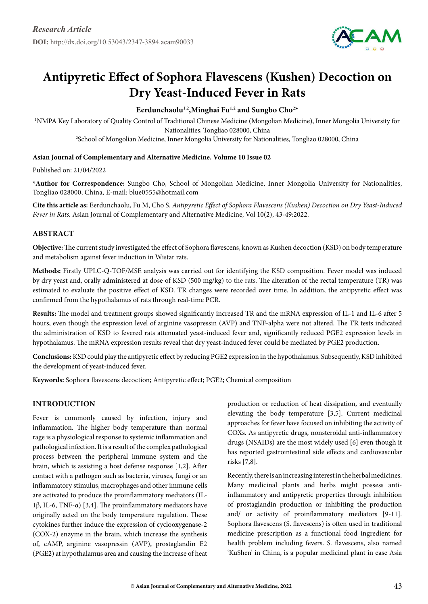

# **Antipyretic Effect of Sophora Flavescens (Kushen) Decoction on Dry Yeast-Induced Fever in Rats**

# Eerdunchaolu<sup>1,2</sup>, Minghai Fu<sup>1,2</sup> and Sungbo Cho<sup>2\*</sup>

1 NMPA Key Laboratory of Quality Control of Traditional Chinese Medicine (Mongolian Medicine), Inner Mongolia University for Nationalities, Tongliao 028000, China 2 School of Mongolian Medicine, Inner Mongolia University for Nationalities, Tongliao 028000, China

#### **Asian Journal of Complementary and Alternative Medicine. Volume 10 Issue 02**

Published on: 21/04/2022

**\*Author for Correspondence:** Sungbo Cho, School of Mongolian Medicine, Inner Mongolia University for Nationalities, Tongliao 028000, China, E-mail: blue0555@hotmail.com

**Cite this article as:** Eerdunchaolu, Fu M, Cho S. *Antipyretic Effect of Sophora Flavescens (Kushen) Decoction on Dry Yeast-Induced Fever in Rats.* Asian Journal of Complementary and Alternative Medicine, Vol 10(2), 43-49:2022.

## **Abstract**

**Objective:** The current study investigated the effect of Sophora flavescens, known as Kushen decoction (KSD) on body temperature and metabolism against fever induction in Wistar rats.

**Methods:** Firstly UPLC-Q-TOF/MSE analysis was carried out for identifying the KSD composition. Fever model was induced by dry yeast and, orally administered at dose of KSD (500 mg/kg) to the rats. The alteration of the rectal temperature (TR) was estimated to evaluate the positive effect of KSD. TR changes were recorded over time. In addition, the antipyretic effect was confirmed from the hypothalamus of rats through real-time PCR.

**Results:** The model and treatment groups showed significantly increased TR and the mRNA expression of IL-1 and IL-6 after 5 hours, even though the expression level of arginine vasopressin (AVP) and TNF-alpha were not altered. The TR tests indicated the administration of KSD to fevered rats attenuated yeast-induced fever and, significantly reduced PGE2 expression levels in hypothalamus. The mRNA expression results reveal that dry yeast-induced fever could be mediated by PGE2 production.

**Conclusions:** KSD could play the antipyretic effect by reducing PGE2 expression in the hypothalamus. Subsequently, KSD inhibited the development of yeast-induced fever.

**Keywords:** Sophora flavescens decoction; Antipyretic effect; PGE2; Chemical composition

# **Introduction**

Fever is commonly caused by infection, injury and inflammation. The higher body temperature than normal rage is a physiological response to systemic inflammation and pathological infection. It is a result of the complex pathological process between the peripheral immune system and the brain, which is assisting a host defense response [1,2]. After contact with a pathogen such as bacteria, viruses, fungi or an inflammatory stimulus, macrophages and other immune cells are activated to produce the proinflammatory mediators (IL-1β, IL-6, TNF-α) [3,4]. The proinflammatory mediators have originally acted on the body temperature regulation. These cytokines further induce the expression of cyclooxygenase-2 (COX-2) enzyme in the brain, which increase the synthesis of, cAMP, arginine vasopressin (AVP), prostaglandin E2 (PGE2) at hypothalamus area and causing the increase of heat production or reduction of heat dissipation, and eventually elevating the body temperature [3,5]. Current medicinal approaches for fever have focused on inhibiting the activity of COXs. As antipyretic drugs, nonsteroidal anti-inflammatory drugs (NSAIDs) are the most widely used [6] even though it has reported gastrointestinal side effects and cardiovascular risks [7,8].

Recently, there is an increasing interest in the herbal medicines. Many medicinal plants and herbs might possess antiinflammatory and antipyretic properties through inhibition of prostaglandin production or inhibiting the production and/ or activity of proinflammatory mediators [9-11]. Sophora flavescens (S. flavescens) is often used in traditional medicine prescription as a functional food ingredient for health problem including fevers. S. flavescens, also named 'KuShen' in China, is a popular medicinal plant in ease Asia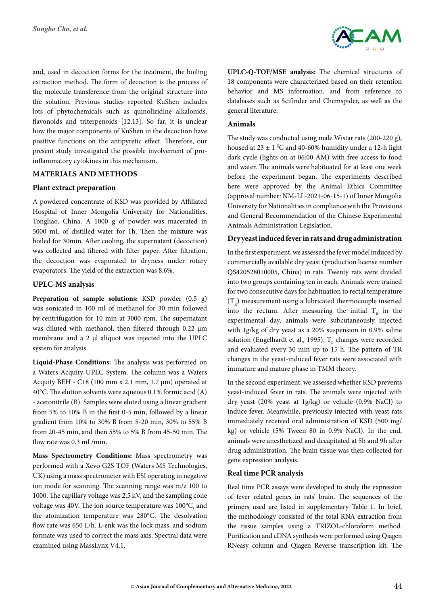and, used in decoction forms for the treatment, the boiling extraction method. The form of decoction is the process of the molecule transference from the original structure into the solution. Previous studies reported KuShen includes lots of phytochemicals such as quinolizidine alkalonids, flavonoids and triterpenoids [12,13]. So far, it is unclear how the major components of KuShen in the decoction have positive functions on the antipyretic effect. Therefore, our present study investigated the possible involvement of proinflammatory cytokines in this mechanism.

#### **Materials and Methods**

#### **Plant extract preparation**

A powdered concentrate of KSD was provided by Affiliated Hospital of Inner Mongolia University for Nationalities, Tongliao, China. A 1000 g of powder was macerated in 5000 mL of distilled water for 1h. Then the mixture was boiled for 30min. After cooling, the supernatant (decoction) was collected and filtered with filter paper. After filtration, the decoction was evaporated to dryness under rotary evaporators. The yield of the extraction was 8.6%.

#### **UPLC-MS analysis**

**Preparation of sample solutions:** KSD powder (0.5 g) was sonicated in 100 ml of methanol for 30 min followed by centrifugation for 10 min at 3000 rpm. The supernatant was diluted with methanol, then filtered through 0.22 µm membrane and a 2 µl aliquot was injected into the UPLC system for analysis.

**Liquid-Phase Conditions:** The analysis was performed on a Waters Acquity UPLC System. The column was a Waters Acquity BEH - C18 (100 mm x 2.1 mm, 1.7 μm) operated at 40°C. The elution solvents were aqueous 0.1% formic acid (A) - acetonitrile (B). Samples were eluted using a linear gradient from 5% to 10% B in the first 0-5 min, followed by a linear gradient from 10% to 30% B from 5-20 min, 30% to 55% B from 20-45 min, and then 55% to 5% B from 45-50 min. The flow rate was 0.3 mL/min.

**Mass Spectrometry Conditions:** Mass spectrometry was performed with a Xevo G2S TOF (Waters MS Technologies, UK) using a mass spectrometer with ESI operating in negative ion mode for scanning. The scanning range was m/z 100 to 1000. The capillary voltage was 2.5 kV, and the sampling cone voltage was 40V. The ion source temperature was 100°C, and the atomization temperature was 280°C. The desolvation flow rate was 650 L/h. L-enk was the lock mass, and sodium formate was used to correct the mass axis. Spectral data were examined using MassLynx V4.1.



**UPLC-Q-TOF/MSE analysis:** The chemical structures of 18 components were characterized based on their retention behavior and MS information, and from reference to databases such as Scifinder and Chemspider, as well as the general literature.

#### **Animals**

The study was conducted using male Wistar rats (200-220 g), housed at  $23 \pm 1$  C and 40-60% humidity under a 12-h light dark cycle (lights on at 06:00 AM) with free access to food and water. The animals were habituated for at least one week before the experiment began. The experiments described here were approved by the Animal Ethics Committee (approval number: NM-LL-2021-06-15-1) of Inner Mongolia University for Nationalities in compliance with the Provisions and General Recommendation of the Chinese Experimental Animals Administration Legislation.

#### **Dry yeast induced fever in rats and drug administration**

In the first experiment, we assessed the fever model induced by commercially available dry yeast (production license number QS420528010005, China) in rats. Twenty rats were divided into two groups containing ten in each. Animals were trained for two consecutive days for habituation to rectal temperature  $(T_p)$  measurement using a lubricated thermocouple inserted into the rectum. After measuring the initial  $T<sub>n</sub>$  in the experimental day, animals were subcutaneously injected with 1g/kg of dry yeast as a 20% suspension in 0.9% saline solution (Engelhardt et al., 1995).  $T<sub>n</sub>$  changes were recorded and evaluated every 30 min up to 15 h. The pattern of TR changes in the yeast-induced fever rats were associated with immature and mature phase in TMM theory.

In the second experiment, we assessed whether KSD prevents yeast-induced fever in rats. The animals were injected with dry yeast (20% yeast at 1g/kg) or vehicle (0.9% NaCl) to induce fever. Meanwhile, previously injected with yeast rats immediately received oral administration of KSD (500 mg/ kg) or vehicle (5% Tween 80 in 0.9% NaCl). In the end, animals were anesthetized and decapitated at 5h and 9h after drug administration. The brain tissue was then collected for gene expression analysis.

#### **Real time PCR analysis**

Real time PCR assays were developed to study the expression of fever related genes in rats' brain. The sequences of the primers used are listed in supplementary Table 1. In brief, the methodology consisted of the total RNA extraction from the tissue samples using a TRIZOL-chloroform method. Purification and cDNA synthesis were performed using Qiagen RNeasy column and Qiagen Reverse transcription kit. The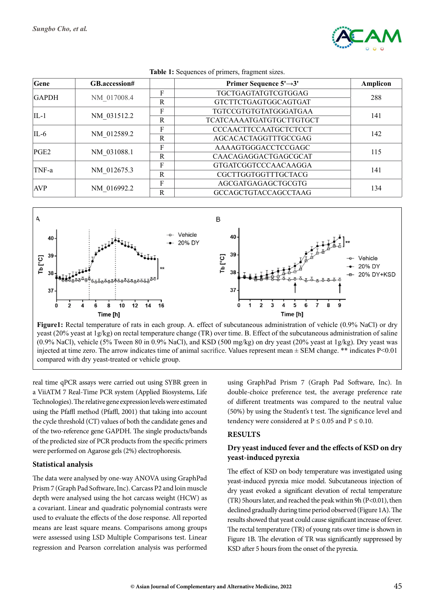

| Gene             | GB.accession# |              | Primer Sequence $5' \rightarrow 3'$ | Amplicon |
|------------------|---------------|--------------|-------------------------------------|----------|
| <b>GAPDH</b>     | NM 017008.4   | F            | TGCTGAGTATGTCGTGGAG                 | 288      |
|                  |               | R            | <b>GTCTTCTGAGTGGCAGTGAT</b>         |          |
| $II - 1$         | NM 031512.2   | F            | <b>TGTCCGTGTGTATGGGATGAA</b>        |          |
|                  |               | R            | <b>TCATCAAAATGATGTGCTTGTGCT</b>     | 141      |
| IL-6             | NM 012589.2   | F            | <b>CCCAACTTCCAATGCTCTCCT</b>        |          |
|                  |               | $\mathbb{R}$ | AGCACACTAGGTTTGCCGAG                | 142      |
| PGE <sub>2</sub> | NM 031088.1   | F            | AAAAGTGGGACCTCCGAGC                 | 115      |
|                  |               | $\mathbf R$  | CAACAGAGGACTGAGCGCAT                |          |
| TNF-a            | NM 012675.3   | F            | <b>GTGATCGGTCCCAACAAGGA</b>         | 141      |
|                  |               | R            | CGCTTGGTGGTTTGCTACG                 |          |
| <b>AVP</b>       | NM 016992.2   | F            | AGCGATGAGAGCTGCGTG                  | 134      |
|                  |               | $\mathbf R$  | <b>GCCAGCTGTACCAGCCTAAG</b>         |          |

**Table 1:** Sequences of primers, fragment sizes.



**Figure1:** Rectal temperature of rats in each group. A. effect of subcutaneous administration of vehicle (0.9% NaCl) or dry yeast (20% yeast at 1g/kg) on rectal temperature change (TR) over time. B. Effect of the subcutaneous administration of saline (0.9% NaCl), vehicle (5% Tween 80 in 0.9% NaCl), and KSD (500 mg/kg) on dry yeast (20% yeast at 1g/kg). Dry yeast was injected at time zero. The arrow indicates time of animal [sacrifice](https://en.dict.naver.com/#/entry/enko/fcad398b7fb74d2d844150a6b53741c8). Values represent mean ± SEM change. \*\* indicates P<0.01 compared with dry yeast-treated or vehicle group.

real time qPCR assays were carried out using SYBR green in a ViiATM 7 Real-Time PCR system (Applied Biosystems, Life Technologies). The relative gene expression levels were estimated using the Pfaffl method (Pfaffl, 2001) that taking into account the cycle threshold (CT) values of both the candidate genes and of the two-reference gene GAPDH. The single products/bands of the predicted size of PCR products from the specific primers were performed on Agarose gels (2%) electrophoresis.

## **Statistical analysis**

The data were analysed by one-way ANOVA using GraphPad Prism 7 (Graph Pad Software, Inc). Carcass P2 and loin muscle depth were analysed using the hot carcass weight (HCW) as a covariant. Linear and quadratic polynomial contrasts were used to evaluate the effects of the dose response. All reported means are least square means. Comparisons among groups were assessed using LSD Multiple Comparisons test. Linear regression and Pearson correlation analysis was performed

using GraphPad Prism 7 (Graph Pad Software, Inc). In double-choice preference test, the average preference rate of different treatments was compared to the neutral value (50%) by using the Student's t test. The significance level and tendency were considered at  $P \le 0.05$  and  $P \le 0.10$ .

## **Results**

# **Dry yeast induced fever and the effects of KSD on dry yeast-induced pyrexia**

The effect of KSD on body temperature was investigated using yeast-induced pyrexia mice model. Subcutaneous injection of dry yeast evoked a significant elevation of rectal temperature (TR) 5hours later, and reached the peak within 9h (P<0.01), then declined gradually during time period observed (Figure 1A). The results showed that yeast could cause significant increase of fever. The rectal temperature (TR) of young rats over time is shown in Figure 1B. The elevation of TR was significantly suppressed by KSD after 5 hours from the onset of the pyrexia.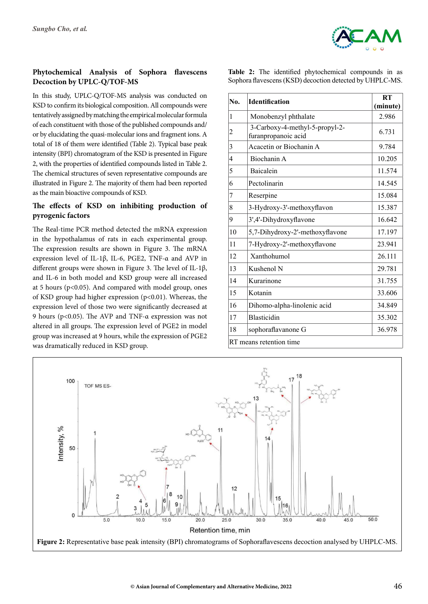

# **Phytochemical Analysis of Sophora flavescens Decoction by UPLC-Q/TOF-MS**

In this study, UPLC-Q/TOF-MS analysis was conducted on KSD to confirm its biological composition. All compounds were tentatively assigned by matching the empirical molecular formula of each constituent with those of the published compounds and/ or by elucidating the quasi-molecular ions and fragment ions. A total of 18 of them were identified (Table 2). Typical base peak intensity (BPI) chromatogram of the KSD is presented in Figure 2, with the properties of identified compounds listed in Table 2. The chemical structures of seven representative compounds are illustrated in Figure 2. The majority of them had been reported as the main bioactive compounds of KSD.

## **The effects of KSD on inhibiting production of pyrogenic factors**

The Real-time PCR method detected the mRNA expression in the hypothalamus of rats in each experimental group. The expression results are shown in Figure 3. The mRNA expression level of IL-1β, IL-6, PGE2, TNF-α and AVP in different groups were shown in Figure 3. The level of IL-1β, and IL-6 in both model and KSD group were all increased at 5 hours ( $p<0.05$ ). And compared with model group, ones of KSD group had higher expression (p<0.01). Whereas, the expression level of those two were significantly decreased at 9 hours (p<0.05). The AVP and TNF-α expression was not altered in all groups. The expression level of PGE2 in model group was increased at 9 hours, while the expression of PGE2 was dramatically reduced in KSD group.

**Table 2:** The identified phytochemical compounds in as Sophora flavescens (KSD) decoction detected by UHPLC-MS.

| No.            | <b>Identification</b>                                 | RT<br>(minute) |
|----------------|-------------------------------------------------------|----------------|
| 1              | Monobenzyl phthalate                                  | 2.986          |
| $\overline{c}$ | 3-Carboxy-4-methyl-5-propyl-2-<br>furanpropanoic acid | 6.731          |
| 3              | Acacetin or Biochanin A                               | 9.784          |
| 4              | Biochanin A                                           | 10.205         |
| 5              | <b>Baicalein</b>                                      | 11.574         |
| 6              | Pectolinarin                                          | 14.545         |
| 7              | Reserpine                                             | 15.084         |
| 8              | 3-Hydroxy-3'-methoxyflavon                            | 15.387         |
| 9              | 3',4'-Dihydroxyflavone                                | 16.642         |
| 10             | 5,7-Dihydroxy-2'-methoxyflavone                       | 17.197         |
| 11             | 7-Hydroxy-2'-methoxyflavone                           | 23.941         |
| 12             | Xanthohumol                                           | 26.111         |
| 13             | Kushenol N                                            | 29.781         |
| 14             | Kurarinone                                            | 31.755         |
| 15             | Kotanin                                               | 33.606         |
| 16             | Dihomo-alpha-linolenic acid                           | 34.849         |
| 17             | <b>Blasticidin</b>                                    | 35.302         |
| 18             | sophoraflavanone G                                    | 36.978         |
|                | RT means retention time                               |                |

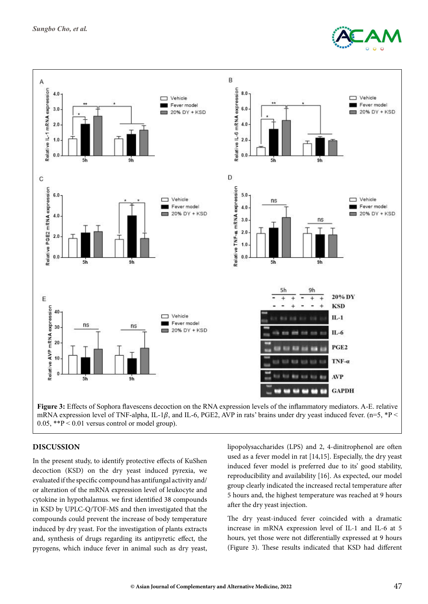



**Figure 3:** Effects of Sophora flavescens decoction on the RNA expression levels of the inflammatory mediators. A-E. relative mRNA expression level of TNF-alpha, IL-1 $\beta$ , and IL-6, PGE2, AVP in rats' brains under dry yeast induced fever. (n=5, \*P < 0.05, \*\*P < 0.01 versus control or model group).

#### **Discussion**

In the present study, to identify protective effects of KuShen decoction (KSD) on the dry yeast induced pyrexia, we evaluated if the specific compound has antifungal activity and/ or alteration of the mRNA expression level of leukocyte and cytokine in hypothalamus. we first identified 38 compounds in KSD by UPLC-Q/TOF-MS and then investigated that the compounds could prevent the increase of body temperature induced by dry yeast. For the investigation of plants extracts and, synthesis of drugs regarding its antipyretic effect, the pyrogens, which induce fever in animal such as dry yeast, lipopolysaccharides (LPS) and 2, 4-dinitrophenol are often used as a fever model in rat [14,15]. Especially, the dry yeast induced fever model is preferred due to its' good stability, reproducibility and availability [16]. As expected, our model group clearly indicated the increased rectal temperature after 5 hours and, the highest temperature was reached at 9 hours after the dry yeast injection.

The dry yeast-induced fever coincided with a dramatic increase in mRNA expression level of IL-1 and IL-6 at 5 hours, yet those were not differentially expressed at 9 hours (Figure 3). These results indicated that KSD had different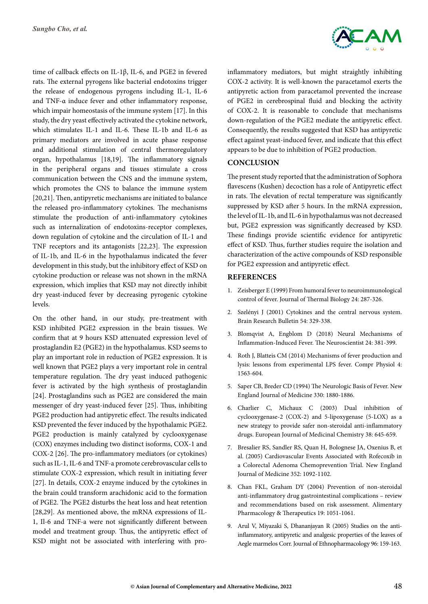time of callback effects on IL-1β, IL-6, and PGE2 in fevered rats. The external pyrogens like bacterial endotoxins trigger the release of endogenous pyrogens including IL-1, IL-6 and TNF-α induce fever and other inflammatory response, which impair homeostasis of the immune system [17]. In this study, the dry yeast effectively activated the cytokine network, which stimulates IL-1 and IL-6. These IL-1b and IL-6 as primary mediators are involved in acute phase response and additional stimulation of central thermoregulatory organ, hypothalamus [18,19]. The inflammatory signals in the peripheral organs and tissues stimulate a cross communication between the CNS and the immune system, which promotes the CNS to balance the immune system [20,21]. Then, antipyretic mechanisms are initiated to balance the released pro-inflammatory cytokines. The mechanisms stimulate the production of anti-inflammatory cytokines such as internalization of endotoxins-receptor complexes, down regulation of cytokine and the circulation of IL-1 and TNF receptors and its antagonists [22,23]. The expression of IL-1b, and IL-6 in the hypothalamus indicated the fever development in this study, but the inhibitory effect of KSD on cytokine production or release was not shown in the mRNA expression, which implies that KSD may not directly inhibit dry yeast-induced fever by decreasing pyrogenic cytokine levels.

On the other hand, in our study, pre-treatment with KSD inhibited PGE2 expression in the brain tissues. We confirm that at 9 hours KSD attenuated expression level of prostaglandin E2 (PGE2) in the hypothalamus. KSD seems to play an important role in reduction of PGE2 expression. It is well known that PGE2 plays a very important role in central temperature regulation. The dry yeast induced pathogenic fever is activated by the high synthesis of prostaglandin [24]. Prostaglandins such as PGE2 are considered the main messenger of dry yeast-induced fever [25]. Thus, inhibiting PGE2 production had antipyretic effect. The results indicated KSD prevented the fever induced by the hypothalamic PGE2. PGE2 production is mainly catalyzed by cyclooxygenase (COX) enzymes including two distinct isoforms, COX-1 and COX-2 [26]. The pro-inflammatory mediators (or cytokines) such as IL-1, IL-6 and TNF-a promote cerebrovascular cells to stimulate COX-2 expression, which result in initiating fever [27]. In details, COX-2 enzyme induced by the cytokines in the brain could transform arachidonic acid to the formation of PGE2. The PGE2 disturbs the heat loss and heat retention [28,29]. As mentioned above, the mRNA expressions of IL-1, Il-6 and TNF-a were not significantly different between model and treatment group. Thus, the antipyretic effect of KSD might not be associated with interfering with pro-



inflammatory mediators, but might straightly inhibiting COX-2 activity. It is well-known the paracetamol exerts the antipyretic action from paracetamol prevented the increase of PGE2 in cerebrospinal fluid and blocking the activity of COX-2. It is reasonable to conclude that mechanisms down-regulation of the PGE2 mediate the antipyretic effect. Consequently, the results suggested that KSD has antipyretic effect against yeast-induced fever, and indicate that this effect appears to be due to inhibition of PGE2 production.

# **Conclusion**

The present study reported that the administration of Sophora flavescens (Kushen) decoction has a role of Antipyretic effect in rats. The elevation of rectal temperature was significantly suppressed by KSD after 5 hours. In the mRNA expression, the level of IL-1b, and IL-6 in hypothalamus was not decreased but, PGE2 expression was significantly decreased by KSD. These findings provide scientific evidence for antipyretic effect of KSD. Thus, further studies require the isolation and characterization of the active compounds of KSD responsible for PGE2 expression and antipyretic effect.

# **References**

- 1. [Zeisberger E \(1999\) From humoral fever to neuroimmunological](https://www.sciencedirect.com/science/article/abs/pii/S0306456599000339) [control of fever. Journal of Thermal Biology 24: 287-326.](https://www.sciencedirect.com/science/article/abs/pii/S0306456599000339)
- 2. [Szelényi J \(2001\) Cytokines and the central nervous system.](https://pubmed.ncbi.nlm.nih.gov/11306183/#:~:text=Cytokines are involved both in the immune response,and modulators of neural functions and neuronal survival.) [Brain Research Bulletin 54: 329-338.](https://pubmed.ncbi.nlm.nih.gov/11306183/#:~:text=Cytokines are involved both in the immune response,and modulators of neural functions and neuronal survival.)
- 3. [Blomqvist A, Engblom D \(2018\) Neural Mechanisms of](https://pubmed.ncbi.nlm.nih.gov/29557255/) [Inflammation-Induced Fever. The Neuroscientist 24: 381-399.](https://pubmed.ncbi.nlm.nih.gov/29557255/)
- 4. [Roth J, Blatteis CM \(2014\) Mechanisms of fever production and](https://pubmed.ncbi.nlm.nih.gov/25428854/) [lysis: lessons from experimental LPS fever. Compr Physiol 4:](https://pubmed.ncbi.nlm.nih.gov/25428854/) [1563-604.](https://pubmed.ncbi.nlm.nih.gov/25428854/)
- 5. [Saper CB, Breder CD \(1994\) The Neurologic Basis of Fever. New](https://www.nejm.org/doi/full/10.1056/NEJM199411103311911#:~:text=The Neurologic Basis of Fever. Damage in the,brain stem may destroy the pathways for autonomic) [England Journal of Medicine 330: 1880-1886.](https://www.nejm.org/doi/full/10.1056/NEJM199411103311911#:~:text=The Neurologic Basis of Fever. Damage in the,brain stem may destroy the pathways for autonomic)
- 6. [Charlier C, Michaux C \(2003\) Dual inhibition of](https://pubmed.ncbi.nlm.nih.gov/12932896/) [cyclooxygenase-2 \(COX-2\) and 5-lipoxygenase \(5-LOX\) as a](https://pubmed.ncbi.nlm.nih.gov/12932896/) [new strategy to provide safer non-steroidal anti-inflammatory](https://pubmed.ncbi.nlm.nih.gov/12932896/) [drugs. European Journal of Medicinal Chemistry 38: 645-659.](https://pubmed.ncbi.nlm.nih.gov/12932896/)
- 7. [Bresalier RS, Sandler RS, Quan H, Bolognese JA, Oxenius B, et](https://pubmed.ncbi.nlm.nih.gov/15713943/) [al. \(2005\) Cardiovascular Events Associated with Rofecoxib in](https://pubmed.ncbi.nlm.nih.gov/15713943/) [a Colorectal Adenoma Chemoprevention Trial. New England](https://pubmed.ncbi.nlm.nih.gov/15713943/) [Journal of Medicine 352: 1092-1102.](https://pubmed.ncbi.nlm.nih.gov/15713943/)
- 8. [Chan FKL, Graham DY \(2004\) Prevention of non-steroidal](https://pubmed.ncbi.nlm.nih.gov/15142194/) [anti-inflammatory drug gastrointestinal complications – review](https://pubmed.ncbi.nlm.nih.gov/15142194/) [and recommendations based on risk assessment. Alimentary](https://pubmed.ncbi.nlm.nih.gov/15142194/) [Pharmacology & Therapeutics 19: 1051-1061.](https://pubmed.ncbi.nlm.nih.gov/15142194/)
- 9. [Arul V, Miyazaki S, Dhananjayan R \(2005\) Studies on the anti](https://pubmed.ncbi.nlm.nih.gov/15588665/)[inflammatory, antipyretic and analgesic properties of the leaves of](https://pubmed.ncbi.nlm.nih.gov/15588665/) [Aegle marmelos Corr. Journal of Ethnopharmacology 96: 159-163.](https://pubmed.ncbi.nlm.nih.gov/15588665/)